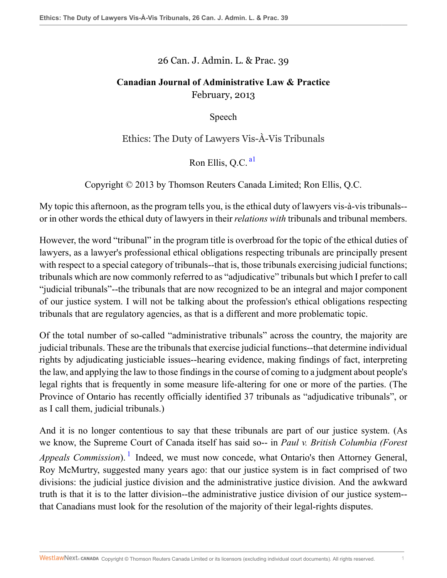## 26 Can. J. Admin. L. & Prac. 39

## **Canadian Journal of Administrative Law & Practice** February, 2013

<span id="page-0-0"></span>Speech

Ethics: The Duty of Lawyers Vis-À-Vis Tribunals

Ron Ellis, O.C.  $a<sup>1</sup>$ 

Copyright © 2013 by Thomson Reuters Canada Limited; Ron Ellis, Q.C.

My topic this afternoon, as the program tells you, is the ethical duty of lawyers vis-à-vis tribunals- or in other words the ethical duty of lawyers in their *relations with* tribunals and tribunal members.

However, the word "tribunal" in the program title is overbroad for the topic of the ethical duties of lawyers, as a lawyer's professional ethical obligations respecting tribunals are principally present with respect to a special category of tribunals--that is, those tribunals exercising judicial functions; tribunals which are now commonly referred to as "adjudicative" tribunals but which I prefer to call "judicial tribunals"--the tribunals that are now recognized to be an integral and major component of our justice system. I will not be talking about the profession's ethical obligations respecting tribunals that are regulatory agencies, as that is a different and more problematic topic.

Of the total number of so-called "administrative tribunals" across the country, the majority are judicial tribunals. These are the tribunals that exercise judicial functions--that determine individual rights by adjudicating justiciable issues--hearing evidence, making findings of fact, interpreting the law, and applying the law to those findings in the course of coming to a judgment about people's legal rights that is frequently in some measure life-altering for one or more of the parties. (The Province of Ontario has recently officially identified 37 tribunals as "adjudicative tribunals", or as I call them, judicial tribunals.)

<span id="page-0-1"></span>And it is no longer contentious to say that these tribunals are part of our justice system. (As we know, the Supreme Court of Canada itself has said so-- in *Paul v. British Columbia (Forest* Appeals Commission). <sup>[1](#page-11-1)</sup> Indeed, we must now concede, what Ontario's then Attorney General, Roy McMurtry, suggested many years ago: that our justice system is in fact comprised of two divisions: the judicial justice division and the administrative justice division. And the awkward truth is that it is to the latter division--the administrative justice division of our justice system- that Canadians must look for the resolution of the majority of their legal-rights disputes.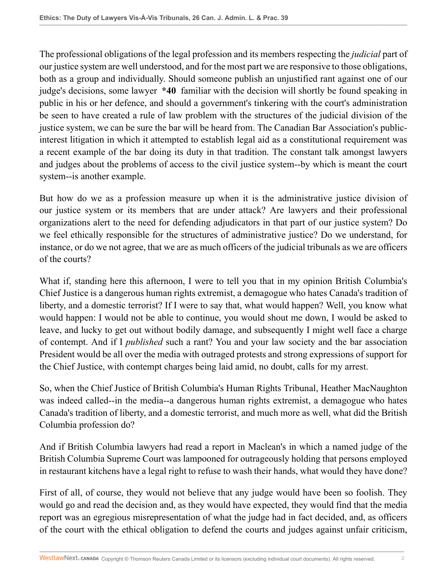The professional obligations of the legal profession and its members respecting the *judicial* part of our justice system are well understood, and for the most part we are responsive to those obligations, both as a group and individually. Should someone publish an unjustified rant against one of our judge's decisions, some lawyer **\*40** familiar with the decision will shortly be found speaking in public in his or her defence, and should a government's tinkering with the court's administration be seen to have created a rule of law problem with the structures of the judicial division of the justice system, we can be sure the bar will be heard from. The Canadian Bar Association's publicinterest litigation in which it attempted to establish legal aid as a constitutional requirement was a recent example of the bar doing its duty in that tradition. The constant talk amongst lawyers and judges about the problems of access to the civil justice system--by which is meant the court system--is another example.

But how do we as a profession measure up when it is the administrative justice division of our justice system or its members that are under attack? Are lawyers and their professional organizations alert to the need for defending adjudicators in that part of our justice system? Do we feel ethically responsible for the structures of administrative justice? Do we understand, for instance, or do we not agree, that we are as much officers of the judicial tribunals as we are officers of the courts?

What if, standing here this afternoon, I were to tell you that in my opinion British Columbia's Chief Justice is a dangerous human rights extremist, a demagogue who hates Canada's tradition of liberty, and a domestic terrorist? If I were to say that, what would happen? Well, you know what would happen: I would not be able to continue, you would shout me down, I would be asked to leave, and lucky to get out without bodily damage, and subsequently I might well face a charge of contempt. And if I *published* such a rant? You and your law society and the bar association President would be all over the media with outraged protests and strong expressions of support for the Chief Justice, with contempt charges being laid amid, no doubt, calls for my arrest.

So, when the Chief Justice of British Columbia's Human Rights Tribunal, Heather MacNaughton was indeed called--in the media--a dangerous human rights extremist, a demagogue who hates Canada's tradition of liberty, and a domestic terrorist, and much more as well, what did the British Columbia profession do?

And if British Columbia lawyers had read a report in Maclean's in which a named judge of the British Columbia Supreme Court was lampooned for outrageously holding that persons employed in restaurant kitchens have a legal right to refuse to wash their hands, what would they have done?

First of all, of course, they would not believe that any judge would have been so foolish. They would go and read the decision and, as they would have expected, they would find that the media report was an egregious misrepresentation of what the judge had in fact decided, and, as officers of the court with the ethical obligation to defend the courts and judges against unfair criticism,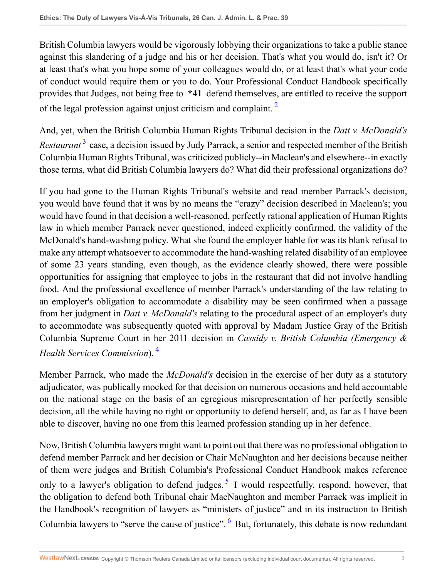British Columbia lawyers would be vigorously lobbying their organizations to take a public stance against this slandering of a judge and his or her decision. That's what you would do, isn't it? Or at least that's what you hope some of your colleagues would do, or at least that's what your code of conduct would require them or you to do. Your Professional Conduct Handbook specifically provides that Judges, not being free to **\*41** defend themselves, are entitled to receive the support of the legal profession against unjust criticism and complaint.<sup>[2](#page-11-2)</sup>

<span id="page-2-1"></span><span id="page-2-0"></span>And, yet, when the British Columbia Human Rights Tribunal decision in the *Datt v. McDonald's* Restaurant<sup>[3](#page-11-3)</sup> case, a decision issued by Judy Parrack, a senior and respected member of the British Columbia Human Rights Tribunal, was criticized publicly--in Maclean's and elsewhere--in exactly those terms, what did British Columbia lawyers do? What did their professional organizations do?

If you had gone to the Human Rights Tribunal's website and read member Parrack's decision, you would have found that it was by no means the "crazy" decision described in Maclean's; you would have found in that decision a well-reasoned, perfectly rational application of Human Rights law in which member Parrack never questioned, indeed explicitly confirmed, the validity of the McDonald's hand-washing policy. What she found the employer liable for was its blank refusal to make any attempt whatsoever to accommodate the hand-washing related disability of an employee of some 23 years standing, even though, as the evidence clearly showed, there were possible opportunities for assigning that employee to jobs in the restaurant that did not involve handling food. And the professional excellence of member Parrack's understanding of the law relating to an employer's obligation to accommodate a disability may be seen confirmed when a passage from her judgment in *Datt v. McDonald's* relating to the procedural aspect of an employer's duty to accommodate was subsequently quoted with approval by Madam Justice Gray of the British Columbia Supreme Court in her 2011 decision in *Cassidy v. British Columbia (Emergency & Health Services Commission*). [4](#page-11-4)

<span id="page-2-2"></span>Member Parrack, who made the *McDonald's* decision in the exercise of her duty as a statutory adjudicator, was publically mocked for that decision on numerous occasions and held accountable on the national stage on the basis of an egregious misrepresentation of her perfectly sensible decision, all the while having no right or opportunity to defend herself, and, as far as I have been able to discover, having no one from this learned profession standing up in her defence.

<span id="page-2-4"></span><span id="page-2-3"></span>Now, British Columbia lawyers might want to point out that there was no professional obligation to defend member Parrack and her decision or Chair McNaughton and her decisions because neither of them were judges and British Columbia's Professional Conduct Handbook makes reference only to a lawyer's obligation to defend judges.  $5\,$  $5\,$  I would respectfully, respond, however, that the obligation to defend both Tribunal chair MacNaughton and member Parrack was implicit in the Handbook's recognition of lawyers as "ministers of justice" and in its instruction to British Columbia lawyers to "serve the cause of justice". <sup>[6](#page-11-6)</sup> But, fortunately, this debate is now redundant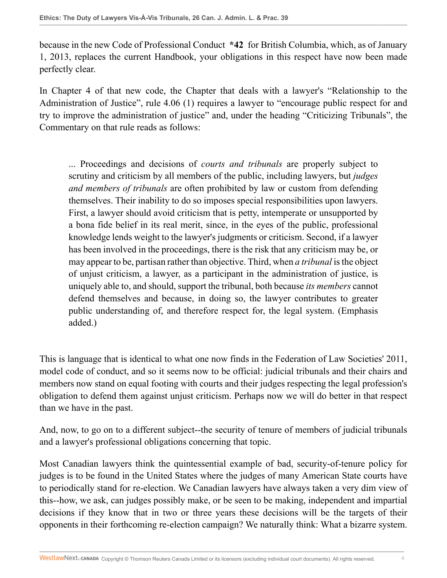because in the new Code of Professional Conduct **\*42** for British Columbia, which, as of January 1, 2013, replaces the current Handbook, your obligations in this respect have now been made perfectly clear.

In Chapter 4 of that new code, the Chapter that deals with a lawyer's "Relationship to the Administration of Justice", rule 4.06 (1) requires a lawyer to "encourage public respect for and try to improve the administration of justice" and, under the heading "Criticizing Tribunals", the Commentary on that rule reads as follows:

... Proceedings and decisions of *courts and tribunals* are properly subject to scrutiny and criticism by all members of the public, including lawyers, but *judges and members of tribunals* are often prohibited by law or custom from defending themselves. Their inability to do so imposes special responsibilities upon lawyers. First, a lawyer should avoid criticism that is petty, intemperate or unsupported by a bona fide belief in its real merit, since, in the eyes of the public, professional knowledge lends weight to the lawyer's judgments or criticism. Second, if a lawyer has been involved in the proceedings, there is the risk that any criticism may be, or may appear to be, partisan rather than objective. Third, when *a tribunal* is the object of unjust criticism, a lawyer, as a participant in the administration of justice, is uniquely able to, and should, support the tribunal, both because *its members* cannot defend themselves and because, in doing so, the lawyer contributes to greater public understanding of, and therefore respect for, the legal system. (Emphasis added.)

This is language that is identical to what one now finds in the Federation of Law Societies' 2011, model code of conduct, and so it seems now to be official: judicial tribunals and their chairs and members now stand on equal footing with courts and their judges respecting the legal profession's obligation to defend them against unjust criticism. Perhaps now we will do better in that respect than we have in the past.

And, now, to go on to a different subject--the security of tenure of members of judicial tribunals and a lawyer's professional obligations concerning that topic.

Most Canadian lawyers think the quintessential example of bad, security-of-tenure policy for judges is to be found in the United States where the judges of many American State courts have to periodically stand for re-election. We Canadian lawyers have always taken a very dim view of this--how, we ask, can judges possibly make, or be seen to be making, independent and impartial decisions if they know that in two or three years these decisions will be the targets of their opponents in their forthcoming re-election campaign? We naturally think: What a bizarre system.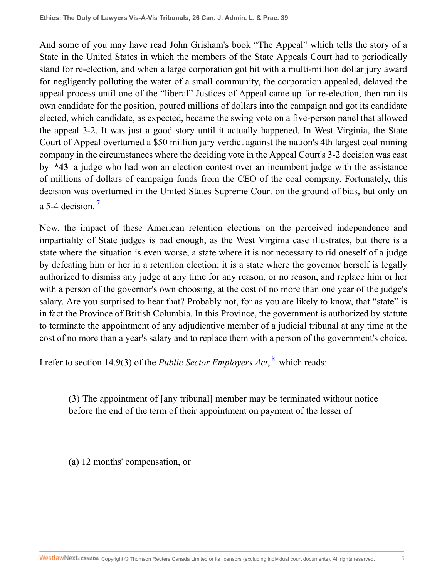And some of you may have read John Grisham's book "The Appeal" which tells the story of a State in the United States in which the members of the State Appeals Court had to periodically stand for re-election, and when a large corporation got hit with a multi-million dollar jury award for negligently polluting the water of a small community, the corporation appealed, delayed the appeal process until one of the "liberal" Justices of Appeal came up for re-election, then ran its own candidate for the position, poured millions of dollars into the campaign and got its candidate elected, which candidate, as expected, became the swing vote on a five-person panel that allowed the appeal 3-2. It was just a good story until it actually happened. In West Virginia, the State Court of Appeal overturned a \$50 million jury verdict against the nation's 4th largest coal mining company in the circumstances where the deciding vote in the Appeal Court's 3-2 decision was cast by **\*43** a judge who had won an election contest over an incumbent judge with the assistance of millions of dollars of campaign funds from the CEO of the coal company. Fortunately, this decision was overturned in the United States Supreme Court on the ground of bias, but only on a 5-4 decision.<sup>[7](#page-11-7)</sup>

<span id="page-4-0"></span>Now, the impact of these American retention elections on the perceived independence and impartiality of State judges is bad enough, as the West Virginia case illustrates, but there is a state where the situation is even worse, a state where it is not necessary to rid oneself of a judge by defeating him or her in a retention election; it is a state where the governor herself is legally authorized to dismiss any judge at any time for any reason, or no reason, and replace him or her with a person of the governor's own choosing, at the cost of no more than one year of the judge's salary. Are you surprised to hear that? Probably not, for as you are likely to know, that "state" is in fact the Province of British Columbia. In this Province, the government is authorized by statute to terminate the appointment of any adjudicative member of a judicial tribunal at any time at the cost of no more than a year's salary and to replace them with a person of the government's choice.

I refer to section 14.9(3) of the *Public Sector Employers Act*, <sup>[8](#page-11-8)</sup> which reads:

<span id="page-4-1"></span>(3) The appointment of [any tribunal] member may be terminated without notice before the end of the term of their appointment on payment of the lesser of

(a) 12 months' compensation, or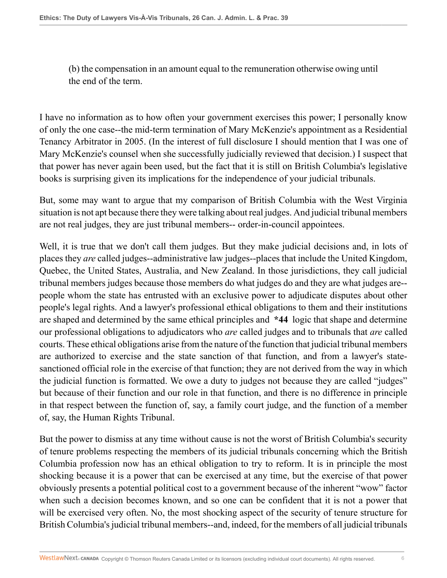(b) the compensation in an amount equal to the remuneration otherwise owing until the end of the term.

I have no information as to how often your government exercises this power; I personally know of only the one case--the mid-term termination of Mary McKenzie's appointment as a Residential Tenancy Arbitrator in 2005. (In the interest of full disclosure I should mention that I was one of Mary McKenzie's counsel when she successfully judicially reviewed that decision.) I suspect that that power has never again been used, but the fact that it is still on British Columbia's legislative books is surprising given its implications for the independence of your judicial tribunals.

But, some may want to argue that my comparison of British Columbia with the West Virginia situation is not apt because there they were talking about real judges. And judicial tribunal members are not real judges, they are just tribunal members-- order-in-council appointees.

Well, it is true that we don't call them judges. But they make judicial decisions and, in lots of places they *are* called judges--administrative law judges--places that include the United Kingdom, Quebec, the United States, Australia, and New Zealand. In those jurisdictions, they call judicial tribunal members judges because those members do what judges do and they are what judges are- people whom the state has entrusted with an exclusive power to adjudicate disputes about other people's legal rights. And a lawyer's professional ethical obligations to them and their institutions are shaped and determined by the same ethical principles and **\*44** logic that shape and determine our professional obligations to adjudicators who *are* called judges and to tribunals that *are* called courts. These ethical obligations arise from the nature of the function that judicial tribunal members are authorized to exercise and the state sanction of that function, and from a lawyer's statesanctioned official role in the exercise of that function; they are not derived from the way in which the judicial function is formatted. We owe a duty to judges not because they are called "judges" but because of their function and our role in that function, and there is no difference in principle in that respect between the function of, say, a family court judge, and the function of a member of, say, the Human Rights Tribunal.

But the power to dismiss at any time without cause is not the worst of British Columbia's security of tenure problems respecting the members of its judicial tribunals concerning which the British Columbia profession now has an ethical obligation to try to reform. It is in principle the most shocking because it is a power that can be exercised at any time, but the exercise of that power obviously presents a potential political cost to a government because of the inherent "wow" factor when such a decision becomes known, and so one can be confident that it is not a power that will be exercised very often. No, the most shocking aspect of the security of tenure structure for British Columbia's judicial tribunal members--and, indeed, for the members of all judicial tribunals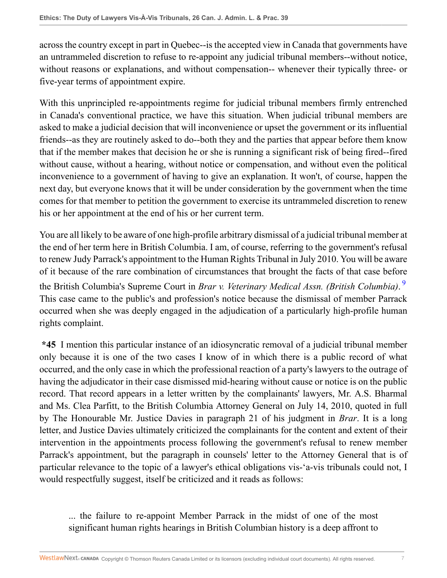across the country except in part in Quebec--is the accepted view in Canada that governments have an untrammeled discretion to refuse to re-appoint any judicial tribunal members--without notice, without reasons or explanations, and without compensation-- whenever their typically three- or five-year terms of appointment expire.

With this unprincipled re-appointments regime for judicial tribunal members firmly entrenched in Canada's conventional practice, we have this situation. When judicial tribunal members are asked to make a judicial decision that will inconvenience or upset the government or its influential friends--as they are routinely asked to do--both they and the parties that appear before them know that if the member makes that decision he or she is running a significant risk of being fired--fired without cause, without a hearing, without notice or compensation, and without even the political inconvenience to a government of having to give an explanation. It won't, of course, happen the next day, but everyone knows that it will be under consideration by the government when the time comes for that member to petition the government to exercise its untrammeled discretion to renew his or her appointment at the end of his or her current term.

<span id="page-6-0"></span>You are all likely to be aware of one high-profile arbitrary dismissal of a judicial tribunal member at the end of her term here in British Columbia. I am, of course, referring to the government's refusal to renew Judy Parrack's appointment to the Human Rights Tribunal in July 2010. You will be aware of it because of the rare combination of circumstances that brought the facts of that case before the British Columbia's Supreme Court in *Brar v. Veterinary Medical Assn. (British Columbia)*. [9](#page-11-9) This case came to the public's and profession's notice because the dismissal of member Parrack occurred when she was deeply engaged in the adjudication of a particularly high-profile human rights complaint.

**\*45** I mention this particular instance of an idiosyncratic removal of a judicial tribunal member only because it is one of the two cases I know of in which there is a public record of what occurred, and the only case in which the professional reaction of a party's lawyers to the outrage of having the adjudicator in their case dismissed mid-hearing without cause or notice is on the public record. That record appears in a letter written by the complainants' lawyers, Mr. A.S. Bharmal and Ms. Clea Parfitt, to the British Columbia Attorney General on July 14, 2010, quoted in full by The Honourable Mr. Justice Davies in paragraph 21 of his judgment in *Brar*. It is a long letter, and Justice Davies ultimately criticized the complainants for the content and extent of their intervention in the appointments process following the government's refusal to renew member Parrack's appointment, but the paragraph in counsels' letter to the Attorney General that is of particular relevance to the topic of a lawyer's ethical obligations vis-'a-vis tribunals could not, I would respectfully suggest, itself be criticized and it reads as follows:

... the failure to re-appoint Member Parrack in the midst of one of the most significant human rights hearings in British Columbian history is a deep affront to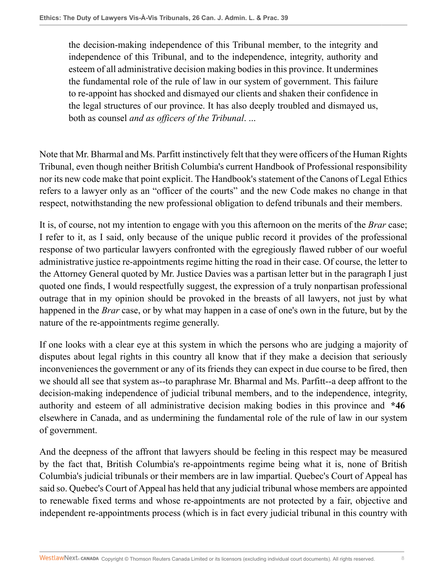the decision-making independence of this Tribunal member, to the integrity and independence of this Tribunal, and to the independence, integrity, authority and esteem of all administrative decision making bodies in this province. It undermines the fundamental role of the rule of law in our system of government. This failure to re-appoint has shocked and dismayed our clients and shaken their confidence in the legal structures of our province. It has also deeply troubled and dismayed us, both as counsel *and as officers of the Tribunal*. ...

Note that Mr. Bharmal and Ms. Parfitt instinctively felt that they were officers of the Human Rights Tribunal, even though neither British Columbia's current Handbook of Professional responsibility nor its new code make that point explicit. The Handbook's statement of the Canons of Legal Ethics refers to a lawyer only as an "officer of the courts" and the new Code makes no change in that respect, notwithstanding the new professional obligation to defend tribunals and their members.

It is, of course, not my intention to engage with you this afternoon on the merits of the *Brar* case; I refer to it, as I said, only because of the unique public record it provides of the professional response of two particular lawyers confronted with the egregiously flawed rubber of our woeful administrative justice re-appointments regime hitting the road in their case. Of course, the letter to the Attorney General quoted by Mr. Justice Davies was a partisan letter but in the paragraph I just quoted one finds, I would respectfully suggest, the expression of a truly nonpartisan professional outrage that in my opinion should be provoked in the breasts of all lawyers, not just by what happened in the *Brar* case, or by what may happen in a case of one's own in the future, but by the nature of the re-appointments regime generally.

If one looks with a clear eye at this system in which the persons who are judging a majority of disputes about legal rights in this country all know that if they make a decision that seriously inconveniences the government or any of its friends they can expect in due course to be fired, then we should all see that system as--to paraphrase Mr. Bharmal and Ms. Parfitt--a deep affront to the decision-making independence of judicial tribunal members, and to the independence, integrity, authority and esteem of all administrative decision making bodies in this province and **\*46** elsewhere in Canada, and as undermining the fundamental role of the rule of law in our system of government.

And the deepness of the affront that lawyers should be feeling in this respect may be measured by the fact that, British Columbia's re-appointments regime being what it is, none of British Columbia's judicial tribunals or their members are in law impartial. Quebec's Court of Appeal has said so. Quebec's Court of Appeal has held that any judicial tribunal whose members are appointed to renewable fixed terms and whose re-appointments are not protected by a fair, objective and independent re-appointments process (which is in fact every judicial tribunal in this country with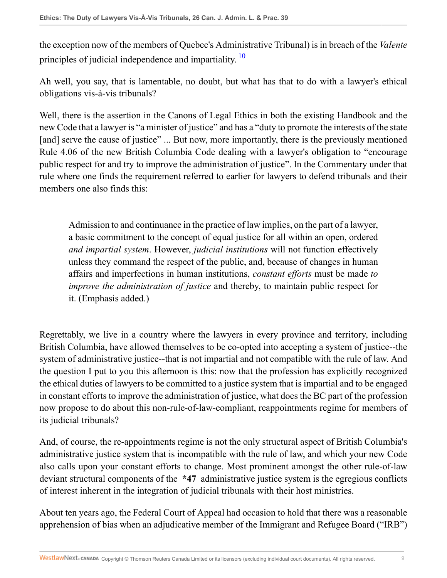<span id="page-8-0"></span>the exception now of the members of Quebec's Administrative Tribunal) is in breach of the *Valente* principles of judicial independence and impartiality.<sup>[10](#page-11-10)</sup>

Ah well, you say, that is lamentable, no doubt, but what has that to do with a lawyer's ethical obligations vis-à-vis tribunals?

Well, there is the assertion in the Canons of Legal Ethics in both the existing Handbook and the new Code that a lawyer is "a minister of justice" and has a "duty to promote the interests of the state [and] serve the cause of justice" ... But now, more importantly, there is the previously mentioned Rule 4.06 of the new British Columbia Code dealing with a lawyer's obligation to "encourage public respect for and try to improve the administration of justice". In the Commentary under that rule where one finds the requirement referred to earlier for lawyers to defend tribunals and their members one also finds this:

Admission to and continuance in the practice of law implies, on the part of a lawyer, a basic commitment to the concept of equal justice for all within an open, ordered *and impartial system*. However, *judicial institutions* will not function effectively unless they command the respect of the public, and, because of changes in human affairs and imperfections in human institutions, *constant efforts* must be made *to improve the administration of justice* and thereby, to maintain public respect for it. (Emphasis added.)

Regrettably, we live in a country where the lawyers in every province and territory, including British Columbia, have allowed themselves to be co-opted into accepting a system of justice--the system of administrative justice--that is not impartial and not compatible with the rule of law. And the question I put to you this afternoon is this: now that the profession has explicitly recognized the ethical duties of lawyers to be committed to a justice system that is impartial and to be engaged in constant efforts to improve the administration of justice, what does the BC part of the profession now propose to do about this non-rule-of-law-compliant, reappointments regime for members of its judicial tribunals?

And, of course, the re-appointments regime is not the only structural aspect of British Columbia's administrative justice system that is incompatible with the rule of law, and which your new Code also calls upon your constant efforts to change. Most prominent amongst the other rule-of-law deviant structural components of the **\*47** administrative justice system is the egregious conflicts of interest inherent in the integration of judicial tribunals with their host ministries.

About ten years ago, the Federal Court of Appeal had occasion to hold that there was a reasonable apprehension of bias when an adjudicative member of the Immigrant and Refugee Board ("IRB")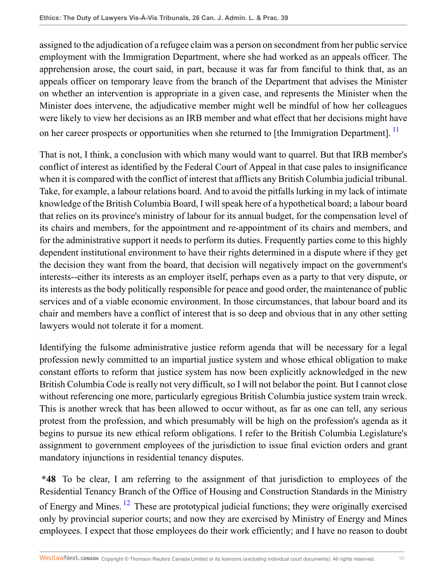assigned to the adjudication of a refugee claim was a person on secondment from her public service employment with the Immigration Department, where she had worked as an appeals officer. The apprehension arose, the court said, in part, because it was far from fanciful to think that, as an appeals officer on temporary leave from the branch of the Department that advises the Minister on whether an intervention is appropriate in a given case, and represents the Minister when the Minister does intervene, the adjudicative member might well be mindful of how her colleagues were likely to view her decisions as an IRB member and what effect that her decisions might have on her career prospects or opportunities when she returned to [the Immigration Department].<sup>[11](#page-11-11)</sup>

<span id="page-9-0"></span>That is not, I think, a conclusion with which many would want to quarrel. But that IRB member's conflict of interest as identified by the Federal Court of Appeal in that case pales to insignificance when it is compared with the conflict of interest that afflicts any British Columbia judicial tribunal. Take, for example, a labour relations board. And to avoid the pitfalls lurking in my lack of intimate knowledge of the British Columbia Board, I will speak here of a hypothetical board; a labour board that relies on its province's ministry of labour for its annual budget, for the compensation level of its chairs and members, for the appointment and re-appointment of its chairs and members, and for the administrative support it needs to perform its duties. Frequently parties come to this highly dependent institutional environment to have their rights determined in a dispute where if they get the decision they want from the board, that decision will negatively impact on the government's interests--either its interests as an employer itself, perhaps even as a party to that very dispute, or its interests as the body politically responsible for peace and good order, the maintenance of public services and of a viable economic environment. In those circumstances, that labour board and its chair and members have a conflict of interest that is so deep and obvious that in any other setting lawyers would not tolerate it for a moment.

Identifying the fulsome administrative justice reform agenda that will be necessary for a legal profession newly committed to an impartial justice system and whose ethical obligation to make constant efforts to reform that justice system has now been explicitly acknowledged in the new British Columbia Code is really not very difficult, so I will not belabor the point. But I cannot close without referencing one more, particularly egregious British Columbia justice system train wreck. This is another wreck that has been allowed to occur without, as far as one can tell, any serious protest from the profession, and which presumably will be high on the profession's agenda as it begins to pursue its new ethical reform obligations. I refer to the British Columbia Legislature's assignment to government employees of the jurisdiction to issue final eviction orders and grant mandatory injunctions in residential tenancy disputes.

<span id="page-9-1"></span>**\*48** To be clear, I am referring to the assignment of that jurisdiction to employees of the Residential Tenancy Branch of the Office of Housing and Construction Standards in the Ministry of Energy and Mines.<sup>[12](#page-11-12)</sup> These are prototypical judicial functions; they were originally exercised only by provincial superior courts; and now they are exercised by Ministry of Energy and Mines employees. I expect that those employees do their work efficiently; and I have no reason to doubt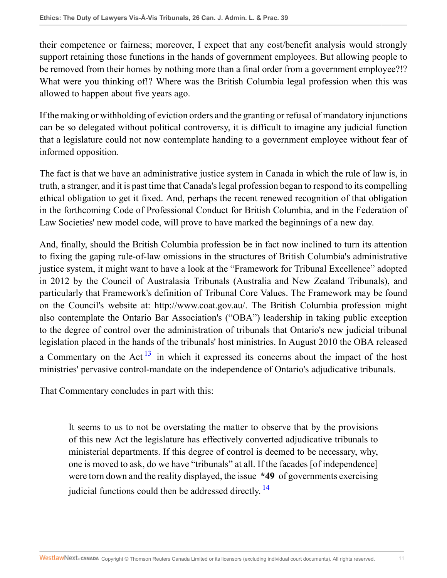their competence or fairness; moreover, I expect that any cost/benefit analysis would strongly support retaining those functions in the hands of government employees. But allowing people to be removed from their homes by nothing more than a final order from a government employee?!? What were you thinking of!? Where was the British Columbia legal profession when this was allowed to happen about five years ago.

If the making or withholding of eviction orders and the granting or refusal of mandatory injunctions can be so delegated without political controversy, it is difficult to imagine any judicial function that a legislature could not now contemplate handing to a government employee without fear of informed opposition.

The fact is that we have an administrative justice system in Canada in which the rule of law is, in truth, a stranger, and it is past time that Canada's legal profession began to respond to its compelling ethical obligation to get it fixed. And, perhaps the recent renewed recognition of that obligation in the forthcoming Code of Professional Conduct for British Columbia, and in the Federation of Law Societies' new model code, will prove to have marked the beginnings of a new day.

And, finally, should the British Columbia profession be in fact now inclined to turn its attention to fixing the gaping rule-of-law omissions in the structures of British Columbia's administrative justice system, it might want to have a look at the "Framework for Tribunal Excellence" adopted in 2012 by the Council of Australasia Tribunals (Australia and New Zealand Tribunals), and particularly that Framework's definition of Tribunal Core Values. The Framework may be found on the Council's website at: http://www.coat.gov.au/. The British Columbia profession might also contemplate the Ontario Bar Association's ("OBA") leadership in taking public exception to the degree of control over the administration of tribunals that Ontario's new judicial tribunal legislation placed in the hands of the tribunals' host ministries. In August 2010 the OBA released a Commentary on the Act<sup>[13](#page-11-13)</sup> in which it expressed its concerns about the impact of the host ministries' pervasive control-mandate on the independence of Ontario's adjudicative tribunals.

That Commentary concludes in part with this:

<span id="page-10-1"></span><span id="page-10-0"></span>It seems to us to not be overstating the matter to observe that by the provisions of this new Act the legislature has effectively converted adjudicative tribunals to ministerial departments. If this degree of control is deemed to be necessary, why, one is moved to ask, do we have "tribunals" at all. If the facades [of independence] were torn down and the reality displayed, the issue **\*49** of governments exercising judicial functions could then be addressed directly.<sup>[14](#page-12-0)</sup>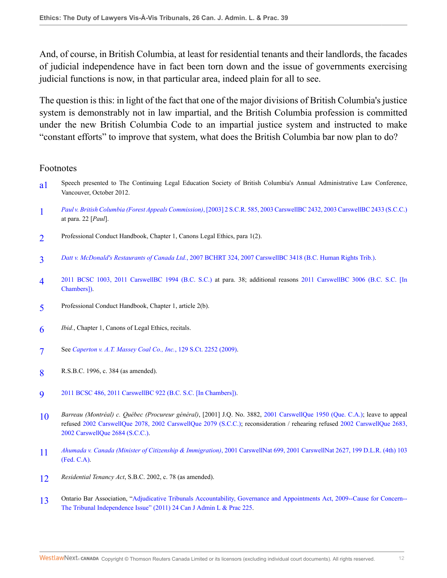And, of course, in British Columbia, at least for residential tenants and their landlords, the facades of judicial independence have in fact been torn down and the issue of governments exercising judicial functions is now, in that particular area, indeed plain for all to see.

The question is this: in light of the fact that one of the major divisions of British Columbia's justice system is demonstrably not in law impartial, and the British Columbia profession is committed under the new British Columbia Code to an impartial justice system and instructed to make "constant efforts" to improve that system, what does the British Columbia bar now plan to do?

## Footnotes

- <span id="page-11-0"></span>a<sup>1</sup> Speech presented to The Continuing Legal Education Society of British Columbia's Annual Administrative Law Conference, Vancouver, October 2012.
- <span id="page-11-1"></span>[1](#page-0-1) *Paul v. British Columbia (Forest Appeals Commission)*[, \[2003\] 2 S.C.R. 585, 2003 CarswellBC 2432, 2003 CarswellBC 2433 \(S.C.C.\)](http://nextcanada.westlaw.com/Link/Document/FullText?findType=Y&serNum=2003652347&pubNum=5156&originatingDoc=I1e7558a2b4e611e28578f7ccc38dcbee&refType=IC&originationContext=document&vr=3.0&rs=cblt1.0&transitionType=DocumentItem&contextData=(sc.Search)) at para. 22 [*Paul*].
- <span id="page-11-2"></span>[2](#page-2-0) Professional Conduct Handbook, Chapter 1, Canons Legal Ethics, para 1(2).
- <span id="page-11-3"></span>[3](#page-2-1) *Datt v. McDonald's Restaurants of Canada Ltd.*[, 2007 BCHRT 324, 2007 CarswellBC 3418 \(B.C. Human Rights Trib.\)](http://nextcanada.westlaw.com/Link/Document/FullText?findType=Y&serNum=2016737953&pubNum=6626&originatingDoc=I1e7558a2b4e611e28578f7ccc38dcbee&refType=IC&originationContext=document&vr=3.0&rs=cblt1.0&transitionType=DocumentItem&contextData=(sc.Search)).
- <span id="page-11-4"></span>[4](#page-2-2) [2011 BCSC 1003, 2011 CarswellBC 1994 \(B.C. S.C.\)](http://nextcanada.westlaw.com/Link/Document/FullText?findType=Y&serNum=2025787431&pubNum=6459&originatingDoc=I1e7558a2b4e611e28578f7ccc38dcbee&refType=IC&originationContext=document&vr=3.0&rs=cblt1.0&transitionType=DocumentItem&contextData=(sc.Search)) at para. 38; additional reasons [2011 CarswellBC 3006 \(B.C. S.C. \[In](http://nextcanada.westlaw.com/Link/Document/FullText?findType=Y&serNum=2026527690&pubNum=5472&originatingDoc=I1e7558a2b4e611e28578f7ccc38dcbee&refType=IC&originationContext=document&vr=3.0&rs=cblt1.0&transitionType=DocumentItem&contextData=(sc.Search)) [Chambers\]\)](http://nextcanada.westlaw.com/Link/Document/FullText?findType=Y&serNum=2026527690&pubNum=5472&originatingDoc=I1e7558a2b4e611e28578f7ccc38dcbee&refType=IC&originationContext=document&vr=3.0&rs=cblt1.0&transitionType=DocumentItem&contextData=(sc.Search)).
- <span id="page-11-5"></span>[5](#page-2-3) Professional Conduct Handbook, Chapter 1, article 2(b).
- <span id="page-11-6"></span>[6](#page-2-4) *Ibid.*, Chapter 1, Canons of Legal Ethics, recitals.
- <span id="page-11-7"></span>[7](#page-4-0) See *[Caperton v. A.T. Massey Coal Co., Inc.](http://nextcanada.westlaw.com/Link/Document/FullText?findType=Y&serNum=2018990391&pubNum=0000708&originatingDoc=I1e7558a2b4e611e28578f7ccc38dcbee&refType=RP&originationContext=document&vr=3.0&rs=cblt1.0&transitionType=DocumentItem&contextData=(sc.Search))*, 129 S.Ct. 2252 (2009).
- <span id="page-11-8"></span>[8](#page-4-1) R.S.B.C. 1996, c. 384 (as amended).
- <span id="page-11-9"></span>[9](#page-6-0) [2011 BCSC 486, 2011 CarswellBC 922 \(B.C. S.C. \[In Chambers\]\).](http://nextcanada.westlaw.com/Link/Document/FullText?findType=Y&serNum=2025099209&pubNum=6459&originatingDoc=I1e7558a2b4e611e28578f7ccc38dcbee&refType=IC&originationContext=document&vr=3.0&rs=cblt1.0&transitionType=DocumentItem&contextData=(sc.Search))
- <span id="page-11-10"></span>[10](#page-8-0) *Barreau (Montréal) c. Québec (Procureur général)*, [2001] J.Q. No. 3882, [2001 CarswellQue 1950 \(Que. C.A.\);](http://nextcanada.westlaw.com/Link/Document/FullText?findType=Y&serNum=2001458530&pubNum=5481&originatingDoc=I1e7558a2b4e611e28578f7ccc38dcbee&refType=IC&originationContext=document&vr=3.0&rs=cblt1.0&transitionType=DocumentItem&contextData=(sc.Search)) leave to appeal refused [2002 CarswellQue 2078, 2002 CarswellQue 2079 \(S.C.C.\)](http://nextcanada.westlaw.com/Link/Document/FullText?findType=Y&serNum=2002514900&pubNum=5481&originatingDoc=I1e7558a2b4e611e28578f7ccc38dcbee&refType=IC&originationContext=document&vr=3.0&rs=cblt1.0&transitionType=DocumentItem&contextData=(sc.Search)); reconsideration / rehearing refused [2002 CarswellQue 2683,](http://nextcanada.westlaw.com/Link/Document/FullText?findType=Y&serNum=2002766895&pubNum=5481&originatingDoc=I1e7558a2b4e611e28578f7ccc38dcbee&refType=IC&originationContext=document&vr=3.0&rs=cblt1.0&transitionType=DocumentItem&contextData=(sc.Search)) [2002 CarswellQue 2684 \(S.C.C.\)](http://nextcanada.westlaw.com/Link/Document/FullText?findType=Y&serNum=2002766895&pubNum=5481&originatingDoc=I1e7558a2b4e611e28578f7ccc38dcbee&refType=IC&originationContext=document&vr=3.0&rs=cblt1.0&transitionType=DocumentItem&contextData=(sc.Search)).
- <span id="page-11-11"></span>[11](#page-9-0) *Ahumada v. Canada (Minister of Citizenship & Immigration)*[, 2001 CarswellNat 699, 2001 CarswellNat 2627, 199 D.L.R. \(4th\) 103](http://nextcanada.westlaw.com/Link/Document/FullText?findType=Y&serNum=2001347027&pubNum=5470&originatingDoc=I1e7558a2b4e611e28578f7ccc38dcbee&refType=IC&originationContext=document&vr=3.0&rs=cblt1.0&transitionType=DocumentItem&contextData=(sc.Search)) [\(Fed. C.A\).](http://nextcanada.westlaw.com/Link/Document/FullText?findType=Y&serNum=2001347027&pubNum=5470&originatingDoc=I1e7558a2b4e611e28578f7ccc38dcbee&refType=IC&originationContext=document&vr=3.0&rs=cblt1.0&transitionType=DocumentItem&contextData=(sc.Search))
- <span id="page-11-12"></span>[12](#page-9-1) *Residential Tenancy Act*, S.B.C. 2002, c. 78 (as amended).
- <span id="page-11-13"></span>[13](#page-10-0) Ontario Bar Association, "[Adjudicative Tribunals Accountability, Governance and Appointments Act, 2009--Cause for Concern--](http://nextcanada.westlaw.com/Link/Document/FullText?findType=Y&serNum=0363696111&pubNum=135178&originatingDoc=I1e7558a2b4e611e28578f7ccc38dcbee&refType=LR&originationContext=document&vr=3.0&rs=cblt1.0&transitionType=DocumentItem&contextData=(sc.Search)) [The Tribunal Independence Issue" \(2011\) 24 Can J Admin L & Prac 225.](http://nextcanada.westlaw.com/Link/Document/FullText?findType=Y&serNum=0363696111&pubNum=135178&originatingDoc=I1e7558a2b4e611e28578f7ccc38dcbee&refType=LR&originationContext=document&vr=3.0&rs=cblt1.0&transitionType=DocumentItem&contextData=(sc.Search))